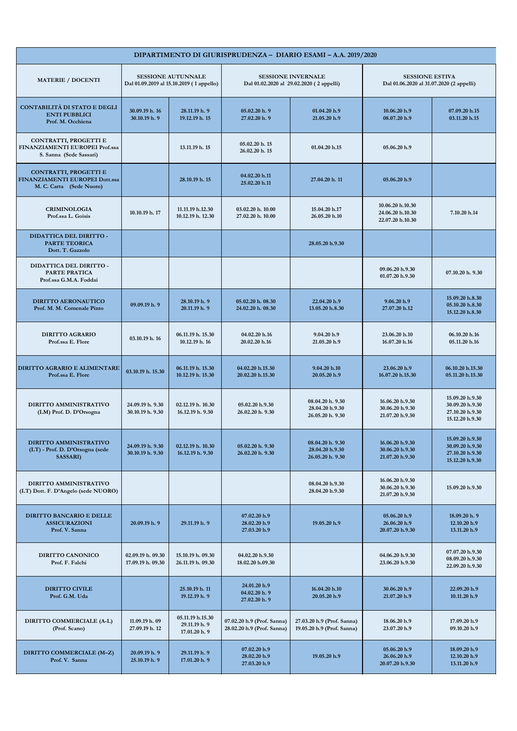| DIPARTIMENTO DI GIURISPRUDENZA - DIARIO ESAMI - A.A. 2019/2020                      |                                        |                                                                       |                                                          |                                                                       |                                                                    |                                                                          |  |
|-------------------------------------------------------------------------------------|----------------------------------------|-----------------------------------------------------------------------|----------------------------------------------------------|-----------------------------------------------------------------------|--------------------------------------------------------------------|--------------------------------------------------------------------------|--|
| <b>MATERIE / DOCENTI</b>                                                            |                                        | <b>SESSIONE AUTUNNALE</b><br>Dal 01.09.2019 al 15.10.2019 (1 appello) |                                                          | <b>SESSIONE INVERNALE</b><br>Dal 01.02.2020 al 29.02.2020 (2 appelli) | <b>SESSIONE ESTIVA</b><br>Dal 01.06.2020 al 31.07.2020 (2 appelli) |                                                                          |  |
| <b>CONTABILITÀ DI STATO E DEGLI</b><br><b>ENTI PUBBLICI</b><br>Prof. M. Occhiena    | 30.09.19 h. 16<br>30.10.19 h. 9        | 28.11.19 h. 9<br>19.12.19 h. 15                                       | 05.02.20 h.9<br>27.02.20 h. 9                            | 01.04.20 h.9<br>21.05.20 h.9                                          | 10.06.20 h.9<br>08.07.20 h.9                                       | 07.09.20 h.15<br>03.11.20 h.15                                           |  |
| CONTRATTI, PROGETTI E<br>FINANZIAMENTI EUROPEI Prof.ssa<br>S. Sanna (Sede Sassari)  |                                        | 13.11.19 h. 15                                                        | 05.02.20 h. 15<br>26.02.20 h. 15                         | 01.04.20 h.15                                                         | 05.06.20 h.9                                                       |                                                                          |  |
| CONTRATTI, PROGETTI E<br>FINANZIAMENTI EUROPEI Dott.ssa<br>M. C. Carta (Sede Nuoro) |                                        | 28.10.19 h. 15                                                        | 04.02.20 h.11<br>25.02.20 h.11                           | 27.04.20 h. 11                                                        | 05.06.20 h.9                                                       |                                                                          |  |
| <b>CRIMINOLOGIA</b><br>Prof.ssa L. Goisis                                           | 10.10.19 h. 17                         | 11.11.19 h.12.30<br>10.12.19 h. 12.30                                 | 03.02.20 h. 10.00<br>27.02.20 h. 10.00                   | 15.04.20 h.17<br>26.05.20 h.10                                        | 10.06.20 h.10.30<br>24.06.20 h.10.30<br>22.07.20 h.10.30           | 7.10.20 h.14                                                             |  |
| DIDATTICA DEL DIRITTO -<br><b>PARTE TEORICA</b><br>Dott. T. Gazzolo                 |                                        |                                                                       |                                                          | 28.05.20 h.9.30                                                       |                                                                    |                                                                          |  |
| DIDATTICA DEL DIRITTO -<br>PARTE PRATICA<br>Prof.ssa G.M.A. Foddai                  |                                        |                                                                       |                                                          |                                                                       | 09.06.20 h.9.30<br>01.07.20 h.9.30                                 | 07.10.20 h. 9.30                                                         |  |
| <b>DIRITTO AERONAUTICO</b><br>Prof. M. M. Comenale Pinto                            | 09.09.19 h.9                           | 28.10.19 h. 9<br>20.11.19 h. 9                                        | 05.02.20 h. 08.30<br>24.02.20 h. 08.30                   | 22.04.20 h.9<br>13.05.20 h.8.30                                       | 9.06.20 h.9<br>27.07.20 h.12                                       | 15.09.20 h.8.30<br>05.10.20 h.8.30<br>15.12.20 h.8.30                    |  |
| <b>DIRITTO AGRARIO</b><br>Prof.ssa E. Flore                                         | 03.10.19 h. 16                         | 06.11.19 h. 15.30<br>10.12.19 h. 16                                   | 04.02.20 h.16<br>20.02.20 h.16                           | 9.04.20 h.9<br>21.05.20 h.9                                           | 23.06.20 h.10<br>16.07.20 h.16                                     | 06.10.20 h.16<br>05.11.20 h.16                                           |  |
| <b>DIRITTO AGRARIO E ALIMENTARE</b><br>Prof.ssa E. Flore                            | 03.10.19 h. 15.30                      | 06.11.19 h. 15.30<br>10.12.19 h. 15.30                                | 04.02.20 h.15.30<br>20.02.20 h.15.30                     | 9.04.20 h.10<br>20.05.20 h.9                                          | 23.06.20 h.9<br>16.07.20 h.15.30                                   | 06.10.20 h.15.30<br>05.11.20 h.15.30                                     |  |
| DIRITTO AMMINISTRATIVO<br>(LM) Prof. D. D'Orsogna                                   | 24.09.19 h. 9.30<br>30.10.19 h. 9.30   | 02.12.19 h. 10.30<br>16.12.19 h. 9.30                                 | 05.02.20 h.9.30<br>26.02.20 h. 9.30                      | 08.04.20 h. 9.30<br>28.04.20 h.9.30<br>26.05.20 h. 9.30               | 16.06.20 h.9.30<br>30.06.20 h.9.30<br>21.07.20 h.9.30              | 15.09.20 h.9.30<br>30.09.20 h.9.30<br>27.10.20 h.9.30<br>15.12.20 h.9.30 |  |
| DIRITTO AMMINISTRATIVO<br>(LT) - Prof. D. D'Orsogna (sede<br><b>SASSARI</b> )       | 24.09.19 h. 9.30<br>30.10.19 h. 9.30   | 02.12.19 h. 10.30<br>16.12.19 h. 9.30                                 | 05.02.20 h. 9.30<br>26.02.20 h. 9.30                     | 08.04.20 h. 9.30<br>28.04.20 h.9.30<br>26.05.20 h. 9.30               | 16.06.20 h.9.30<br>30.06.20 h.9.30<br>21.07.20 h.9.30              | 15.09.20 h.9.30<br>30.09.20 h.9.30<br>27.10.20 h.9.30<br>15.12.20 h.9.30 |  |
| DIRITTO AMMINISTRATIVO<br>(LT) Dott. F. D'Angelo (sede NUORO)                       |                                        |                                                                       |                                                          | 08.04.20 h.9.30<br>28.04.20 h.9.30                                    | 16.06.20 h.9.30<br>30.06.20 h.9.30<br>21.07.20 h.9.30              | 15.09.20 h.9.30                                                          |  |
| DIRITTO BANCARIO E DELLE<br><b>ASSICURAZIONI</b><br>Prof. V. Sanna                  | 20.09.19 h. 9                          | 29.11.19 h. 9                                                         | 07.02.20 h.9<br>28.02.20 h.9<br>27.03.20 h.9             | 19.05.20 h.9                                                          | 05.06.20 h.9<br>26.06.20 h.9<br>20.07.20 h.9.30                    | 18.09.20 h. 9<br>12.10.20 h.9<br>13.11.20 h.9                            |  |
| DIRITTO CANONICO<br>Prof. F. Falchi                                                 | 02.09.19 h. 09.30<br>17.09.19 h. 09.30 | 15.10.19 h. 09.30<br>26.11.19 h. 09.30                                | 04.02.20 h.9.30<br>18.02.20 h.09.30                      |                                                                       | 04.06.20 h.9.30<br>23.06.20 h.9.30                                 | 07.07.20 h.9.30<br>08.09.20 h.9.30<br>22.09.20 h.9.30                    |  |
| <b>DIRITTO CIVILE</b><br>Prof. G.M. Uda                                             |                                        | 25.10.19 h. 11<br>19.12.19 h. 9                                       | 24.01.20 h.9<br>04.02.20 h. 9<br>27.02.20 h. 9           | 16.04.20 h.10<br>20.05.20 h.9                                         | 30.06.20 h.9<br>21.07.20 h.9                                       | 22.09.20 h.9<br>10.11.20 h.9                                             |  |
| DIRITTO COMMERCIALE (A-L)<br>(Prof. Scano)                                          | 11.09.19 h. 09<br>27.09.19 h. 12       | 05.11.19 h.15.30<br>29.11.19 h. 9<br>17.01.20 h. 9                    | 07.02.20 h.9 (Prof. Sanna)<br>28.02.20 h.9 (Prof. Sanna) | 27.03.20 h.9 (Prof. Sanna)<br>19.05.20 h.9 (Prof. Sanna)              | 18.06.20 h.9<br>23.07.20 h.9                                       | 17.09.20 h.9<br>09.10.20 h.9                                             |  |
| DIRITTO COMMERCIALE (M-Z)<br>Prof. V. Sanna                                         | 20.09.19 h. 9<br>25.10.19 h. 9         | 29.11.19 h. 9<br>17.01.20 h. 9                                        | 07.02.20 h.9<br>28.02.20 h.9<br>27.03.20 h.9             | 19.05.20 h.9                                                          | 05.06.20 h.9<br>26.06.20 h.9<br>20.07.20 h.9.30                    | 18.09.20 h.9<br>12.10.20 h.9<br>13.11.20 h.9                             |  |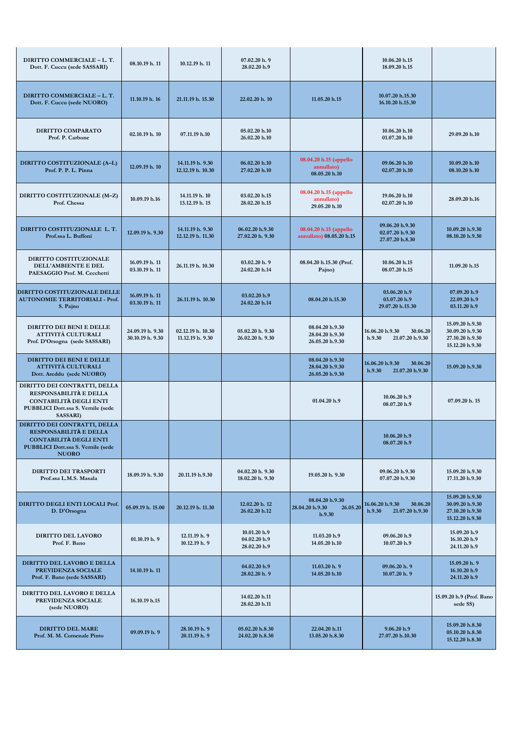| DIRITTO COMMERCIALE - L. T.<br>Dott. F. Cuccu (sede SASSARI)                                                                                      | 08.10.19 h. 11                       | 10.12.19 h. 11                        | 07.02.20 h.9<br>28.02.20 h.9                 |                                                          | 10.06.20 h.15<br>18.09.20 h.15                           |                                                                          |
|---------------------------------------------------------------------------------------------------------------------------------------------------|--------------------------------------|---------------------------------------|----------------------------------------------|----------------------------------------------------------|----------------------------------------------------------|--------------------------------------------------------------------------|
| DIRITTO COMMERCIALE - L. T.<br>Dott. F. Cuccu (sede NUORO)                                                                                        | 11.10.19 h. 16                       | 21.11.19 h. 15.30                     | 22.02.20 h. 10                               | 11.05.20 h.15                                            | 10.07.20 h.15.30<br>16.10.20 h.15.30                     |                                                                          |
| <b>DIRITTO COMPARATO</b><br>Prof. P. Carbone                                                                                                      | 02.10.19 h. 10                       | 07.11.19 h.10                         | 05.02.20 h.10<br>26.02.20 h.10               |                                                          | 10.06.20 h.10<br>01.07.20 h.10                           | 29.09.20 h.10                                                            |
| DIRITTO COSTITUZIONALE (A-L)<br>Prof. P. P. L. Pinna                                                                                              | 12.09.19 h. 10                       | 14.11.19 h. 9.30<br>12.12.19 h. 10.30 | 06.02.20 h.10<br>27.02.20 h.10               | 08.04.20 h.15 (appello<br>annullato)<br>08.05.20 h.10    | 09.06.20 h.10<br>02.07.20 h.10                           | 10.09.20 h.10<br>08.10.20 h.10                                           |
| DIRITTO COSTITUZIONALE (M-Z)<br>Prof. Chessa                                                                                                      | 10.09.19 h.16                        | 14.11.19 h. 10<br>13.12.19 h. 15      | 03.02.20 h.15<br>28.02.20 h.15               | 08.04.20 h.15 (appello<br>annullato)<br>29.05.20 h.10    | 19.06.20 h.10<br>02.07.20 h.10                           | 28.09.20 h.16                                                            |
| DIRITTO COSTITUZIONALE L.T.<br>Prof.ssa L. Buffoni                                                                                                | 12.09.19 h. 9.30                     | 14.11.19 h. 9.30<br>12.12.19 h. 11.30 | 06.02.20 h.9.30<br>27.02.20 h. 9.30          | 08.04.20 h.15 (appello<br>annullato) 08.05.20 h.15       | 09.06.20 h.9.30<br>02.07.20 h.9.30<br>27.07.20 h.8.30    | 10.09.20 h.9.30<br>08.10.20 h.9.30                                       |
| DIRITTO COSTITUZIONALE<br>DELL'AMBIENTE E DEL<br>PAESAGGIO Prof. M. Cecchetti                                                                     | 16.09.19 h. 11<br>03.10.19 h. 11     | 26.11.19 h. 10.30                     | 03.02.20 h.9<br>24.02.20 h.14                | 08.04.20 h.15.30 (Prof.<br>Pajno)                        | 10.06.20 h.15<br>08.07.20 h.15                           | 11.09.20 h.15                                                            |
| <b>DIRITTO COSTITUZIONALE DELLE</b><br><b>AUTONOMIE TERRITORIALI - Prof.</b><br>S. Pajno                                                          | 16.09.19 h. 11<br>03.10.19 h. 11     | 26.11.19 h. 10.30                     | 03.02.20 h.9<br>24.02.20 h.14                | 08.04.20 h.15.30                                         | 03.06.20 h.9<br>03.07.20 h.9<br>29.07.20 h.15.30         | 07.09.20 h.9<br>22.09.20 h.9<br>03.11.20 h.9                             |
| DIRITTO DEI BENI E DELLE<br><b>ATTIVITÀ CULTURALI</b><br>Prof. D'Orsogna (sede SASSARI)                                                           | 24.09.19 h. 9.30<br>30.10.19 h. 9.30 | 02.12.19 h. 10.30<br>11.12.19 h. 9.30 | 05.02.20 h. 9.30<br>26.02.20 h. 9.30         | 08.04.20 h.9.30<br>28.04.20 h.9.30<br>26.05.20 h.9.30    | 16.06.20 h.9.30<br>30.06.20<br>h.9.30<br>21.07.20 h.9.30 | 15.09.20 h.9.30<br>30.09.20 h.9.30<br>27.10.20 h.9.30<br>15.12.20 h.9.30 |
| DIRITTO DEI BENI E DELLE<br>ATTIVITÀ CULTURALI<br>Dott. Areddu (sede NUORO)                                                                       |                                      |                                       |                                              | 08.04.20 h.9.30<br>28.04.20 h.9.30<br>26.05.20 h.9.30    | 16.06.20 h.9.30<br>30.06.20<br>21.07.20 h.9.30<br>h.9.30 | 15.09.20 h.9.30                                                          |
| DIRITTO DEI CONTRATTI, DELLA<br>RESPONSABILITÀ E DELLA<br><b>CONTABILITÀ DEGLI ENTI</b><br>PUBBLICI Dott.ssa S. Vernile (sede<br><b>SASSARI</b> ) |                                      |                                       |                                              | 01.04.20 h.9                                             | 10.06.20 h.9<br>08.07.20 h.9                             | 07.09.20 h. 15                                                           |
| DIRITTO DEI CONTRATTI, DELLA<br>RESPONSABILITÀ E DELLA<br>CONTABILITÀ DEGLI ENTI<br><b>PUBBLICI Dott.ssa S. Vernile (sede</b><br><b>NUORO</b>     |                                      |                                       |                                              |                                                          | 10.06.20 h.9<br>08.07.20 h.9                             |                                                                          |
| <b>DIRITTO DEI TRASPORTI</b><br>Prof.ssa L.M.S. Masala                                                                                            | 18.09.19 h. 9.30                     | 20.11.19 h.9.30                       | 04.02.20 h. 9.30<br>18.02.20 h. 9.30         | 19.05.20 h. 9.30                                         | 09.06.20 h.9.30<br>07.07.20 h.9.30                       | 15.09.20 h.9.30<br>17.11.20 h.9.30                                       |
| DIRITTO DEGLI ENTI LOCALI Prof.<br>D. D'Orsogna                                                                                                   | 05.09.19 h. 15.00                    | 20.12.19 h. 11.30                     | 12.02.20 h. 12<br>26.02.20 h.12              | 08.04.20 h.9.30<br>28.04.20 h.9.30<br>26.05.20<br>h.9.30 | 16.06.20 h.9.30<br>30.06.20<br>h.9.30<br>21.07.20 h.9.30 | 15.09.20 h.9.30<br>30.09.20 h.9.30<br>27.10.20 h.9.30<br>15.12.20 h.9.30 |
| <b>DIRITTO DEL LAVORO</b><br>Prof. F. Bano                                                                                                        | 01.10.19 h.9                         | 12.11.19 h. 9<br>10.12.19 h. 9        | 10.01.20 h.9<br>04.02.20 h.9<br>28.02.20 h.9 | 11.03.20 h.9<br>14.05.20 h.10                            | 09.06.20 h.9<br>10.07.20 h.9                             | 15.09.20 h.9<br>16.10.20 h.9<br>24.11.20 h.9                             |
| DIRITTO DEL LAVORO E DELLA<br>PREVIDENZA SOCIALE<br>Prof. F. Bano (sede SASSARI)                                                                  | 14.10.19 h. 11                       |                                       | 04.02.20 h.9<br>28.02.20 h. 9                | 11.03.20 h. 9<br>14.05.20 h.10                           | 09.06.20 h. 9<br>10.07.20 h.9                            | 15.09.20 h. 9<br>16.10.20 h.9<br>24.11.20 h.9                            |
| DIRITTO DEL LAVORO E DELLA<br>PREVIDENZA SOCIALE<br>(sede NUORO)                                                                                  | 16.10.19 h.15                        |                                       | 14.02.20 h.11<br>28.02.20 h.11               |                                                          |                                                          | 15.09.20 h.9 (Prof. Bano<br>sede SS)                                     |
| <b>DIRITTO DEL MARE</b><br>Prof. M. M. Comenale Pinto                                                                                             | 09.09.19 h. 9                        | 28.10.19 h. 9<br>20.11.19 h. 9        | 05.02.20 h.8.30<br>24.02.20 h.8.30           | 22.04.20 h.11<br>13.05.20 h.8.30                         | 9.06.20 h.9<br>27.07.20 h.10.30                          | 15.09.20 h.8.30<br>05.10.20 h.8.30<br>15.12.20 h.8.30                    |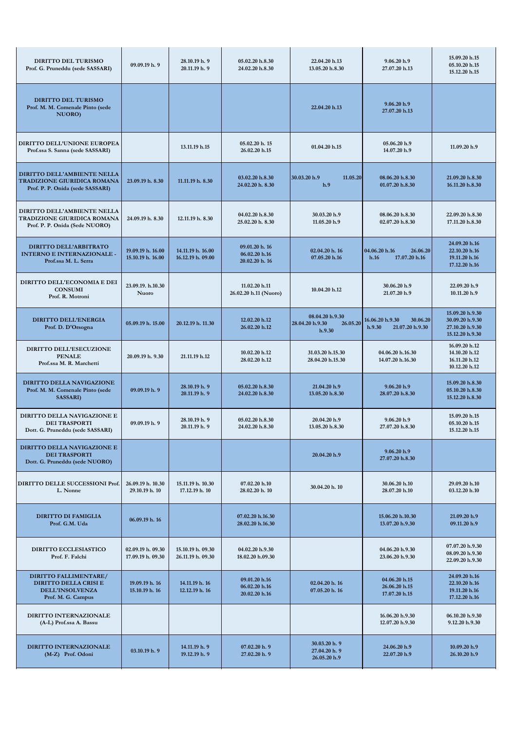| DIRITTO DEL TURISMO<br>Prof. G. Pruneddu (sede SASSARI)                                               | 09.09.19 h. 9                          | 28.10.19 h. 9<br>20.11.19 h. 9         | 05.02.20 h.8.30<br>24.02.20 h.8.30                | 22.04.20 h.13<br>13.05.20 h.8.30                         | 9.06.20 h.9<br>27.07.20 h.13                             | 15.09.20 h.15<br>05.10.20 h.15<br>15.12.20 h.15                          |
|-------------------------------------------------------------------------------------------------------|----------------------------------------|----------------------------------------|---------------------------------------------------|----------------------------------------------------------|----------------------------------------------------------|--------------------------------------------------------------------------|
| DIRITTO DEL TURISMO<br>Prof. M. M. Comenale Pinto (sede<br>NUORO)                                     |                                        |                                        |                                                   | 22.04.20 h.13                                            | 9.06.20 h.9<br>27.07.20 h.13                             |                                                                          |
| DIRITTO DELL'UNIONE EUROPEA<br>Prof.ssa S. Sanna (sede SASSARI)                                       |                                        | 13.11.19 h.15                          | 05.02.20 h. 15<br>26.02.20 h.15                   | 01.04.20 h.15                                            | 05.06.20 h.9<br>14.07.20 h.9                             | 11.09.20 h.9                                                             |
| DIRITTO DELL'AMBIENTE NELLA<br>TRADIZIONE GIURIDICA ROMANA<br>Prof. P. P. Onida (sede SASSARI)        | 23.09.19 h. 8.30                       | 11.11.19 h. 8.30                       | 03.02.20 h.8.30<br>24.02.20 h. 8.30               | 30.03.20 h.9<br>11.05.20<br>h.9                          | 08.06.20 h.8.30<br>01.07.20 h.8.30                       | 21.09.20 h.8.30<br>16.11.20 h.8.30                                       |
| DIRITTO DELL'AMBIENTE NELLA<br>TRADIZIONE GIURIDICA ROMANA<br>Prof. P. P. Onida (Sede NUORO)          | 24.09.19 h. 8.30                       | 12.11.19 h. 8.30                       | 04.02.20 h.8.30<br>25.02.20 h. 8.30               | 30.03.20 h.9<br>11.05.20 h.9                             | 08.06.20 h.8.30<br>02.07.20 h.8.30                       | 22.09.20 h.8.30<br>17.11.20 h.8.30                                       |
| DIRITTO DELL'ARBITRATO<br><b>INTERNO E INTERNAZIONALE -</b><br>Prof.ssa M. L. Serra                   | 19.09.19 h. 16.00<br>15.10.19 h. 16.00 | 14.11.19 h. 16.00<br>16.12.19 h. 09.00 | 09.01.20 h. 16<br>06.02.20 h.16<br>20.02.20 h. 16 | 02.04.20 h. 16<br>07.05.20 h.16                          | 04.06.20 h.16<br>26.06.20<br>17.07.20 h.16<br>h.16       | 24.09.20 h.16<br>22.10.20 h.16<br>19.11.20 h.16<br>17.12.20 h.16         |
| DIRITTO DELL'ECONOMIA E DEI<br><b>CONSUMI</b><br>Prof. R. Motroni                                     | 23.09.19. h.10.30<br>Nuoro             |                                        | 11.02.20 h.11<br>26.02.20 h.11 (Nuoro)            | 10.04.20 h.12                                            | 30.06.20 h.9<br>21.07.20 h.9                             | 22.09.20 h.9<br>10.11.20 h.9                                             |
| <b>DIRITTO DELL'ENERGIA</b><br>Prof. D. D'Orsogna                                                     | 05.09.19 h. 15.00                      | 20.12.19 h. 11.30                      | 12.02.20 h.12<br>26.02.20 h.12                    | 08.04.20 h.9.30<br>26.05.20<br>28.04.20 h.9.30<br>h.9.30 | 16.06.20 h.9.30<br>30.06.20<br>h.9.30<br>21.07.20 h.9.30 | 15.09.20 h.9.30<br>30.09.20 h.9.30<br>27.10.20 h.9.30<br>15.12.20 h.9.30 |
| DIRITTO DELL'ESECUZIONE<br><b>PENALE</b><br>Prof.ssa M. R. Marchetti                                  | 20.09.19 h. 9.30                       | 21.11.19 h.12                          | 10.02.20 h.12<br>28.02.20 h.12                    | 31.03.20 h.15.30<br>28.04.20 h.15.30                     | 04.06.20 h.16.30<br>14.07.20 h.16.30                     | 16.09.20 h.12<br>14.10.20 h.12<br>16.11.20 h.12<br>10.12.20 h.12         |
| DIRITTO DELLA NAVIGAZIONE<br>Prof. M. M. Comenale Pinto (sede<br><b>SASSARI</b> )                     | 09.09.19 h. 9                          | 28.10.19 h. 9<br>20.11.19 h. 9         | 05.02.20 h.8.30<br>24.02.20 h.8.30                | 21.04.20 h.9<br>13.05.20 h.8.30                          | 9.06.20 h.9<br>28.07.20 h.8.30                           | 15.09.20 h.8.30<br>05.10.20 h.8.30<br>15.12.20 h.8.30                    |
| <b>DIRITTO DELLA NAVIGAZIONE E</b><br><b>DEI TRASPORTI</b><br>Dott. G. Pruneddu (sede SASSARI)        | 09.09.19 h. 9                          | 28.10.19 h. 9<br>20.11.19 h. 9         | 05.02.20 h.8.30<br>24.02.20 h.8.30                | 20.04.20 h.9<br>13.05.20 h.8.30                          | 9.06.20 h.9<br>27.07.20 h.8.30                           | 15.09.20 h.15<br>05.10.20 h.15<br>15.12.20 h.15                          |
| DIRITTO DELLA NAVIGAZIONE E<br><b>DEI TRASPORTI</b><br>Dott. G. Pruneddu (sede NUORO)                 |                                        |                                        |                                                   | 20.04.20 h.9                                             | 9.06.20 h.9<br>27.07.20 h.8.30                           |                                                                          |
| DIRITTO DELLE SUCCESSIONI Prof.<br>L. Nonne                                                           | 26.09.19 h. 10.30<br>29.10.19 h. 10    | 15.11.19 h. 10.30<br>17.12.19 h. 10    | 07.02.20 h.10<br>28.02.20 h. 10                   | 30.04.20 h. 10                                           | 30.06.20 h.10<br>28.07.20 h.10                           | 29.09.20 h.10<br>03.12.20 h.10                                           |
| <b>DIRITTO DI FAMIGLIA</b><br>Prof. G.M. Uda                                                          | 06.09.19 h. 16                         |                                        | 07.02.20 h.16.30<br>28.02.20 h.16.30              |                                                          | 15.06.20 h.10.30<br>13.07.20 h.9.30                      | 21.09.20 h.9<br>09.11.20 h.9                                             |
| DIRITTO ECCLESIASTICO<br>Prof. F. Falchi                                                              | 02.09.19 h. 09.30<br>17.09.19 h. 09.30 | 15.10.19 h. 09.30<br>26.11.19 h. 09.30 | 04.02.20 h.9.30<br>18.02.20 h.09.30               |                                                          | 04.06.20 h.9.30<br>23.06.20 h.9.30                       | 07.07.20 h.9.30<br>08.09.20 h.9.30<br>22.09.20 h.9.30                    |
| DIRITTO FALLIMENTARE/<br><b>DIRITTO DELLA CRISI E</b><br><b>DELL'INSOLVENZA</b><br>Prof. M. G. Campus | 19.09.19 h. 16<br>15.10.19 h. 16       | 14.11.19 h. 16<br>12.12.19 h. 16       | 09.01.20 h.16<br>06.02.20 h.16<br>20.02.20 h.16   | 02.04.20 h. 16<br>07.05.20 h. 16                         | 04.06.20 h.15<br>26.06.20 h.15<br>17.07.20 h.15          | 24.09.20 h.16<br>22.10.20 h.16<br>19.11.20 h.16<br>17.12.20 h.16         |
| DIRITTO INTERNAZIONALE<br>(A-L) Prof.ssa A. Bassu                                                     |                                        |                                        |                                                   |                                                          | 16.06.20 h.9.30<br>12.07.20 h.9.30                       | 06.10.20 h.9.30<br>9.12.20 h.9.30                                        |
| DIRITTO INTERNAZIONALE<br>(M-Z) Prof. Odoni                                                           | 03.10.19 h. 9                          | 14.11.19 h. 9<br>19.12.19 h. 9         | 07.02.20 h.9<br>27.02.20 h. 9                     | 30.03.20 h. 9<br>27.04.20 h. 9<br>26.05.20 h.9           | 24.06.20 h.9<br>22.07.20 h.9                             | 10.09.20 h.9<br>26.10.20 h.9                                             |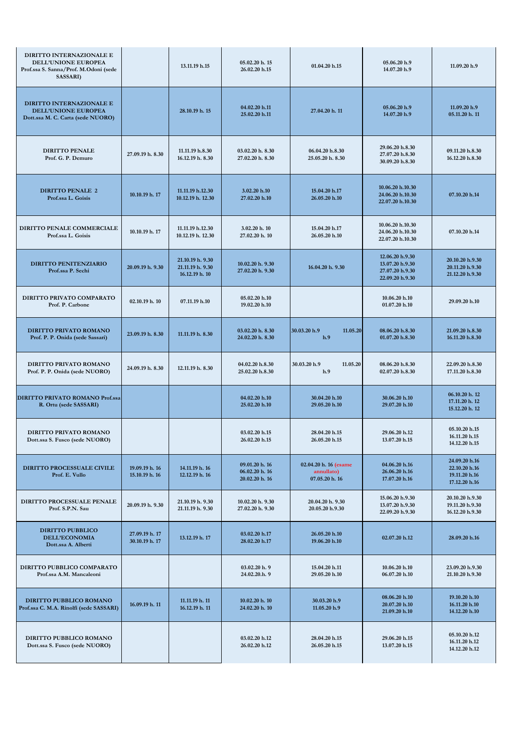| DIRITTO INTERNAZIONALE E<br>DELL'UNIONE EUROPEA<br>Prof.ssa S. Sanna/Prof. M.Odoni (sede<br><b>SASSARI</b> ) |                                  | 13.11.19 h.15                                          | 05.02.20 h. 15<br>26.02.20 h.15                    | 01.04.20 h.15                                         | 05.06.20 h.9<br>14.07.20 h.9                                             | 11.09.20 h.9                                                     |
|--------------------------------------------------------------------------------------------------------------|----------------------------------|--------------------------------------------------------|----------------------------------------------------|-------------------------------------------------------|--------------------------------------------------------------------------|------------------------------------------------------------------|
| DIRITTO INTERNAZIONALE E<br><b>DELL'UNIONE EUROPEA</b><br>Dott.ssa M. C. Carta (sede NUORO)                  |                                  | 28.10.19 h. 15                                         | 04.02.20 h.11<br>25.02.20 h.11                     | 27.04.20 h. 11                                        | 05.06.20 h.9<br>14.07.20 h.9                                             | 11.09.20 h.9<br>05.11.20 h. 11                                   |
| <b>DIRITTO PENALE</b><br>Prof. G. P. Demuro                                                                  | 27.09.19 h. 8.30                 | 11.11.19 h.8.30<br>16.12.19 h. 8.30                    | 03.02.20 h. 8.30<br>27.02.20 h. 8.30               | 06.04.20 h.8.30<br>25.05.20 h. 8.30                   | 29.06.20 h.8.30<br>27.07.20 h.8.30<br>30.09.20 h.8.30                    | 09.11.20 h.8.30<br>16.12.20 h.8.30                               |
| <b>DIRITTO PENALE 2</b><br>Prof.ssa L. Goisis                                                                | 10.10.19 h. 17                   | 11.11.19 h.12.30<br>10.12.19 h. 12.30                  | 3.02.20 h.10<br>27.02.20 h.10                      | 15.04.20 h.17<br>26.05.20 h.10                        | 10.06.20 h.10.30<br>24.06.20 h.10.30<br>22.07.20 h.10.30                 | 07.10.20 h.14                                                    |
| DIRITTO PENALE COMMERCIALE<br>Prof.ssa L. Goisis                                                             | 10.10.19 h, 17                   | 11.11.19 h.12.30<br>10.12.19 h. 12.30                  | 3.02.20 h. 10<br>27.02.20 h. 10                    | 15.04.20 h.17<br>26.05.20 h.10                        | 10.06.20 h.10.30<br>24.06.20 h.10.30<br>22.07.20 h.10.30                 | 07.10.20 h.14                                                    |
| <b>DIRITTO PENITENZIARIO</b><br>Prof.ssa P. Sechi                                                            | 20.09.19 h. 9.30                 | 21.10.19 h. 9.30<br>21.11.19 h. 9.30<br>16.12.19 h. 10 | 10.02.20 h. 9.30<br>27.02.20 h. 9.30               | 16.04.20 h. 9.30                                      | 12.06.20 h.9.30<br>13.07.20 h.9.30<br>27.07.20 h.9.30<br>22.09.20 h.9.30 | 20.10.20 h.9.30<br>20.11.20 h.9.30<br>21.12.20 h.9.30            |
| DIRITTO PRIVATO COMPARATO<br>Prof. P. Carbone                                                                | 02.10.19 h. 10                   | 07.11.19 h.10                                          | 05.02.20 h.10<br>19.02.20 h.10                     |                                                       | 10.06.20 h.10<br>01.07.20 h.10                                           | 29.09.20 h.10                                                    |
| DIRITTO PRIVATO ROMANO<br>Prof. P. P. Onida (sede Sassari)                                                   | 23.09.19 h. 8.30                 | 11.11.19 h. 8.30                                       | 03.02.20 h. 8.30<br>24.02.20 h. 8.30               | 30.03.20 h.9<br>11.05.20<br>h.9                       | 08.06.20 h.8.30<br>01.07.20 h.8.30                                       | 21.09.20 h.8.30<br>16.11.20 h.8.30                               |
| DIRITTO PRIVATO ROMANO<br>Prof. P. P. Onida (sede NUORO)                                                     | 24.09.19 h. 8.30                 | 12.11.19 h. 8.30                                       | 04.02.20 h.8.30<br>25.02.20 h.8.30                 | 30.03.20 h.9<br>11.05.20<br>h.9                       | 08.06.20 h.8.30<br>02.07.20 h.8.30                                       | 22.09.20 h.8.30<br>17.11.20 h.8.30                               |
| <b>DIRITTO PRIVATO ROMANO Prof.ssa</b><br>R. Ortu (sede SASSARI)                                             |                                  |                                                        | 04.02.20 h.10<br>25.02.20 h.10                     | 30.04.20 h.10<br>29.05.20 h.10                        | 30.06.20 h.10<br>29.07.20 h.10                                           | 06.10.20 h. 12<br>17.11.20 h. 12<br>15.12.20 h. 12               |
| DIRITTO PRIVATO ROMANO<br>Dott.ssa S. Fusco (sede NUORO)                                                     |                                  |                                                        | 03.02.20 h.15<br>26.02.20 h.15                     | 28.04.20 h.15<br>26.05.20 h.15                        | 29.06.20 h.12<br>13.07.20 h.15                                           | 05.10.20 h.15<br>16.11.20 h.15<br>14.12.20 h.15                  |
| <b>DIRITTO PROCESSUALE CIVILE</b><br>Prof. E. Vullo                                                          | 19.09.19 h. 16<br>15.10.19 h. 16 | 14.11.19 h. 16<br>12.12.19 h. 16                       | 09.01.20 h. 16<br>06.02.20 h. 16<br>20.02.20 h. 16 | 02.04.20 h. 16 (esame<br>annullato)<br>07.05.20 h. 16 | 04.06.20 h.16<br>26.06.20 h.16<br>17.07.20 h.16                          | 24.09.20 h.16<br>22.10.20 h.16<br>19.11.20 h.16<br>17.12.20 h.16 |
| DIRITTO PROCESSUALE PENALE<br>Prof. S.P.N. Sau                                                               | 20.09.19 h. 9.30                 | 21.10.19 h. 9.30<br>21.11.19 h. 9.30                   | 10.02.20 h. 9.30<br>27.02.20 h. 9.30               | 20.04.20 h. 9.30<br>20.05.20 h.9.30                   | 15.06.20 h.9.30<br>13.07.20 h.9.30<br>22.09.20 h.9.30                    | 20.10.20 h.9.30<br>19.11.20 h.9.30<br>16.12.20 h.9.30            |
| <b>DIRITTO PUBBLICO</b><br>DELL'ECONOMIA<br>Dott.ssa A. Alberti                                              | 27.09.19 h. 17<br>30.10.19 h. 17 | 13.12.19 h. 17                                         | 03.02.20 h.17<br>28.02.20 h.17                     | 26.05.20 h.10<br>19.06.20 h.10                        | 02.07.20 h.12                                                            | 28.09.20 h.16                                                    |
| DIRITTO PUBBLICO COMPARATO<br>Prof.ssa A.M. Mancaleoni                                                       |                                  |                                                        | 03.02.20 h. 9<br>24.02.20.h. 9                     | 15.04.20 h.11<br>29.05.20 h.10                        | 10.06.20 h.10<br>06.07.20 h.10                                           | 23.09.20 h.9.30<br>21.10.20 h.9.30                               |
| DIRITTO PUBBLICO ROMANO<br>Prof.ssa C. M.A. Rinolfi (sede SASSARI)                                           | 16.09.19 h. 11                   | 11.11.19 h. 11<br>16.12.19 h. 11                       | 10.02.20 h. 10<br>24.02.20 h. 10                   | 30.03.20 h.9<br>11.05.20 h.9                          | 08.06.20 h.10<br>20.07.20 h.10<br>21.09.20 h.10                          | 19.10.20 h.10<br>16.11.20 h.10<br>14.12.20 h.10                  |
| DIRITTO PUBBLICO ROMANO<br>Dott.ssa S. Fusco (sede NUORO)                                                    |                                  |                                                        | 03.02.20 h.12<br>26.02.20 h.12                     | 28.04.20 h.15<br>26.05.20 h.15                        | 29.06.20 h.15<br>13.07.20 h.15                                           | 05.10.20 h.12<br>16.11.20 h.12<br>14.12.20 h.12                  |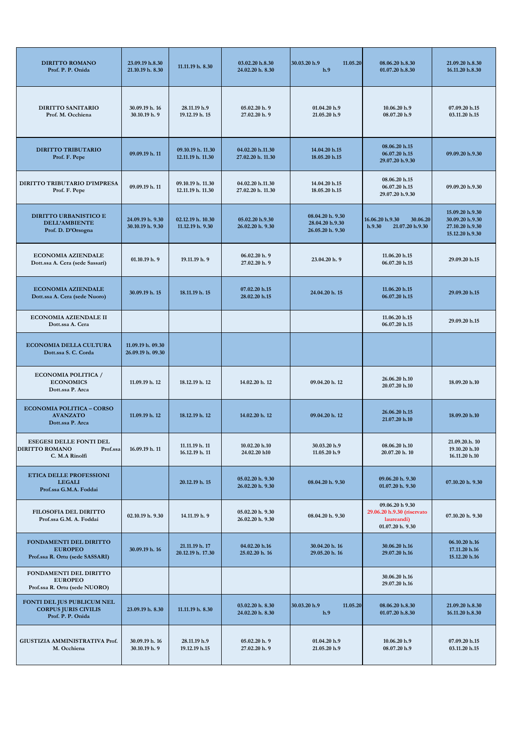| <b>DIRITTO ROMANO</b><br>Prof. P. P. Onida                                            | 23.09.19 h.8.30<br>21.10.19 h. 8.30    | 11.11.19 h. 8.30                       | 03.02.20 h.8.30<br>24.02.20 h. 8.30   | 30.03.20 h.9<br>11.05.20<br>h.9                         | 08.06.20 h.8.30<br>01.07.20 h.8.30                                              | 21.09.20 h.8.30<br>16.11.20 h.8.30                                       |
|---------------------------------------------------------------------------------------|----------------------------------------|----------------------------------------|---------------------------------------|---------------------------------------------------------|---------------------------------------------------------------------------------|--------------------------------------------------------------------------|
| <b>DIRITTO SANITARIO</b><br>Prof. M. Occhiena                                         | 30.09.19 h. 16<br>30.10.19 h. 9        | 28.11.19 h.9<br>19.12.19 h. 15         | 05.02.20 h. 9<br>27.02.20 h. 9        | 01.04.20 h.9<br>21.05.20 h.9                            | 10.06.20 h.9<br>08.07.20 h.9                                                    | 07.09.20 h.15<br>03.11.20 h.15                                           |
| <b>DIRITTO TRIBUTARIO</b><br>Prof. F. Pepe                                            | 09.09.19 h. 11                         | 09.10.19 h. 11.30<br>12.11.19 h. 11.30 | 04.02.20 h.11.30<br>27.02.20 h. 11.30 | 14.04.20 h.15<br>18.05.20 h.15                          | 08.06.20 h.15<br>06.07.20 h.15<br>29.07.20 h.9.30                               | 09.09.20 h.9.30                                                          |
| DIRITTO TRIBUTARIO D'IMPRESA<br>Prof. F. Pepe                                         | 09.09.19 h. 11                         | 09.10.19 h. 11.30<br>12.11.19 h. 11.30 | 04.02.20 h.11.30<br>27.02.20 h. 11.30 | 14.04.20 h.15<br>18.05.20 h.15                          | 08.06.20 h.15<br>06.07.20 h.15<br>29.07.20 h.9.30                               | 09.09.20 h.9.30                                                          |
| <b>DIRITTO URBANISTICO E</b><br><b>DELL'AMBIENTE</b><br>Prof. D. D'Orsogna            | 24.09.19 h. 9.30<br>30.10.19 h. 9.30   | 02.12.19 h. 10.30<br>11.12.19 h. 9.30  | 05.02.20 h.9.30<br>26.02.20 h. 9.30   | 08.04.20 h. 9.30<br>28.04.20 h.9.30<br>26.05.20 h. 9.30 | 16.06.20 h.9.30<br>30.06.20<br>h.9.30<br>21.07.20 h.9.30                        | 15.09.20 h.9.30<br>30.09.20 h.9.30<br>27.10.20 h.9.30<br>15.12.20 h.9.30 |
| <b>ECONOMIA AZIENDALE</b><br>Dott.ssa A. Cera (sede Sassari)                          | 01.10.19 h.9                           | 19.11.19 h. 9                          | 06.02.20 h.9<br>27.02.20 h. 9         | 23.04.20 h. 9                                           | 11.06.20 h.15<br>06.07.20 h.15                                                  | 29.09.20 h.15                                                            |
| <b>ECONOMIA AZIENDALE</b><br>Dott.ssa A. Cera (sede Nuoro)                            | 30.09.19 h. 15                         | 18.11.19 h. 15                         | 07.02.20 h.15<br>28.02.20 h.15        | 24.04.20 h. 15                                          | 11.06.20 h.15<br>06.07.20 h.15                                                  | 29.09.20 h.15                                                            |
| <b>ECONOMIA AZIENDALE II</b><br>Dott.ssa A. Cera                                      |                                        |                                        |                                       |                                                         | 11.06.20 h.15<br>06.07.20 h.15                                                  | 29.09.20 h.15                                                            |
| <b>ECONOMIA DELLA CULTURA</b><br>Dott.ssa S. C. Corda                                 | 11.09.19 h. 09.30<br>26.09.19 h. 09.30 |                                        |                                       |                                                         |                                                                                 |                                                                          |
| <b>ECONOMIA POLITICA /</b><br><b>ECONOMICS</b><br>Dott.ssa P. Arca                    | 11.09.19 h. 12                         | 18.12.19 h. 12                         | 14.02.20 h. 12                        | 09.04.20 h. 12                                          | 26.06.20 h.10<br>20.07.20 h.10                                                  | 18.09.20 h.10                                                            |
| <b>ECONOMIA POLITICA - CORSO</b><br><b>AVANZATO</b><br>Dott.ssa P. Arca               | 11.09.19 h. 12                         | 18.12.19 h. 12                         | 14.02.20 h. 12                        | 09.04.20 h. 12                                          | 26.06.20 h.15<br>21.07.20 h.10                                                  | 18.09.20 h.10                                                            |
| <b>ESEGESI DELLE FONTI DEL</b><br><b>DIRITTO ROMANO</b><br>Prof.ssa<br>C. M.A Rinolfi | 16.09.19 h. 11                         | 11.11.19 h. 11<br>16.12.19 h. 11       | 10.02.20 h.10<br>24.02.20 h10         | 30.03.20 h.9<br>11.05.20 h.9                            | 08.06.20 h.10<br>20.07.20 h. 10                                                 | 21.09.20.h. 10<br>19.10.20 h.10<br>16.11.20 h.10                         |
| ETICA DELLE PROFESSIONI<br><b>LEGALI</b><br>Prof.ssa G.M.A. Foddai                    |                                        | 20.12.19 h. 15                         | 05.02.20 h. 9.30<br>26.02.20 h. 9.30  | 08.04.20 h. 9.30                                        | 09.06.20 h. 9.30<br>01.07.20 h. 9.30                                            | 07.10.20 h. 9.30                                                         |
| <b>FILOSOFIA DEL DIRITTO</b><br>Prof.ssa G.M. A. Foddai                               | 02.10.19 h. 9.30                       | 14.11.19 h. 9                          | 05.02.20 h. 9.30<br>26.02.20 h. 9.30  | 08.04.20 h. 9.30                                        | 09.06.20 h 9.30<br>29.06.20 h.9.30 (riservato<br>laureandi)<br>01.07.20 h. 9.30 | 07.10.20 h. 9.30                                                         |
| FONDAMENTI DEL DIRITTO<br><b>EUROPEO</b><br>Prof.ssa R. Ortu (sede SASSARI)           | 30.09.19 h. 16                         | 21.11.19 h. 17<br>20.12.19 h. 17.30    | 04.02.20 h.16<br>25.02.20 h. 16       | 30.04.20 h. 16<br>29.05.20 h. 16                        | 30.06.20 h.16<br>29.07.20 h.16                                                  | 06.10.20 h.16<br>17.11.20 h.16<br>15.12.20 h.16                          |
| FONDAMENTI DEL DIRITTO<br><b>EUROPEO</b><br>Prof.ssa R. Ortu (sede NUORO)             |                                        |                                        |                                       |                                                         | 30.06.20 h.16<br>29.07.20 h.16                                                  |                                                                          |
| FONTI DEL JUS PUBLICUM NEL<br><b>CORPUS JURIS CIVILIS</b><br>Prof. P. P. Onida        | 23.09.19 h. 8.30                       | 11.11.19 h. 8.30                       | 03.02.20 h. 8.30<br>24.02.20 h. 8.30  | 30.03.20 h.9<br>11.05.20<br>h.9                         | 08.06.20 h.8.30<br>01.07.20 h.8.30                                              | 21.09.20 h.8.30<br>16.11.20 h.8.30                                       |
| GIUSTIZIA AMMINISTRATIVA Prof.<br>M. Occhiena                                         | 30.09.19 h. 16<br>30.10.19 h. 9        | 28.11.19 h.9<br>19.12.19 h.15          | 05.02.20 h.9<br>27.02.20 h. 9         | 01.04.20 h.9<br>21.05.20 h.9                            | 10.06.20 h.9<br>08.07.20 h.9                                                    | 07.09.20 h.15<br>03.11.20 h.15                                           |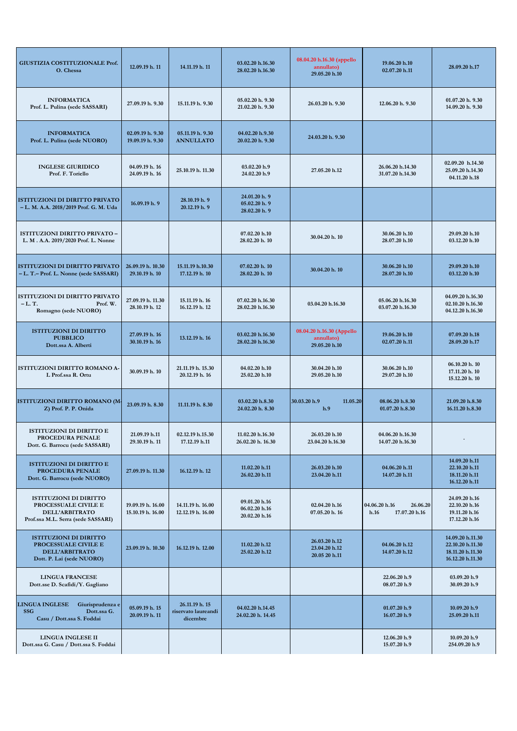| GIUSTIZIA COSTITUZIONALE Prof.<br>O. Chessa                                                                   | 12.09.19 h. 11                         | 14.11.19 h. 11                                    | 03.02.20 h.16.30<br>28.02.20 h.16.30            | 08.04.20 h.16.30 (appello<br>annullato)<br>29.05.20 h.10 | 19.06.20 h.10<br>02.07.20 h.11                     | 28.09.20 h.17                                                                |
|---------------------------------------------------------------------------------------------------------------|----------------------------------------|---------------------------------------------------|-------------------------------------------------|----------------------------------------------------------|----------------------------------------------------|------------------------------------------------------------------------------|
| <b>INFORMATICA</b><br>Prof. L. Pulina (sede SASSARI)                                                          | 27.09.19 h. 9.30                       | 15.11.19 h. 9.30                                  | 05.02.20 h. 9.30<br>21.02.20 h. 9.30            | 26.03.20 h. 9.30                                         | 12.06.20 h. 9.30                                   | 01.07.20 h. 9.30<br>14.09.20 h. 9.30                                         |
| <b>INFORMATICA</b><br>Prof. L. Pulina (sede NUORO)                                                            | 02.09.19 h. 9.30<br>19.09.19 h. 9.30   | 05.11.19 h. 9.30<br><b>ANNULLATO</b>              | 04.02.20 h.9.30<br>20.02.20 h. 9.30             | 24.03.20 h. 9.30                                         |                                                    |                                                                              |
| <b>INGLESE GIURIDICO</b><br>Prof. F. Toriello                                                                 | 04.09.19 h. 16<br>24.09.19 h. 16       | 25.10.19 h. 11.30                                 | 03.02.20 h.9<br>24.02.20 h.9                    | 27.05.20 h.12                                            | 26.06.20 h.14.30<br>31.07.20 h.14.30               | 02.09.20 h.14.30<br>25.09.20 h.14.30<br>04.11.20 h.18                        |
| <b>ISTITUZIONI DI DIRITTO PRIVATO</b><br>- L. M. A.A. 2018/2019 Prof. G. M. Uda                               | 16.09.19 h. 9                          | 28.10.19 h. 9<br>20.12.19 h. 9                    | 24.01.20 h. 9<br>05.02.20 h. 9<br>28.02.20 h. 9 |                                                          |                                                    |                                                                              |
| ISTITUZIONI DIRITTO PRIVATO –<br>L. M. A.A. 2019/2020 Prof. L. Nonne                                          |                                        |                                                   | 07.02.20 h.10<br>28.02.20 h. 10                 | 30.04.20 h. 10                                           | 30.06.20 h.10<br>28.07.20 h.10                     | 29.09.20 h.10<br>03.12.20 h.10                                               |
| <b>ISTITUZIONI DI DIRITTO PRIVATO</b><br>- L. T. - Prof. L. Nonne (sede SASSARI)                              | 26.09.19 h. 10.30<br>29.10.19 h. 10    | 15.11.19 h.10.30<br>17.12.19 h. 10                | 07.02.20 h. 10<br>28.02.20 h. 10                | 30.04.20 h. 10                                           | 30.06.20 h.10<br>28.07.20 h.10                     | 29.09.20 h.10<br>03.12.20 h.10                                               |
| <b>ISTITUZIONI DI DIRITTO PRIVATO</b><br>$-L$ . T.<br>Prof. W.<br>Romagno (sede NUORO)                        | 27.09.19 h. 11.30<br>28.10.19 h. 12    | 15.11.19 h. 16<br>16.12.19 h. 12                  | 07.02.20 h.16.30<br>28.02.20 h.16.30            | 03.04.20 h.16.30                                         | 05.06.20 h.16.30<br>03.07.20 h.16.30               | 04.09.20 h.16.30<br>02.10.20 h.16.30<br>04.12.20 h.16.30                     |
| <b>ISTITUZIONI DI DIRITTO</b><br><b>PUBBLICO</b><br>Dott.ssa A. Alberti                                       | 27.09.19 h. 16<br>30.10.19 h. 16       | 13.12.19 h. 16                                    | 03.02.20 h.16.30<br>28.02.20 h.16.30            | 08.04.20 h.16.30 (Appello<br>annullato)<br>29.05.20 h.10 | 19.06.20 h.10<br>02.07.20 h.11                     | 07.09.20 h.18<br>28.09.20 h.17                                               |
| ISTITUZIONI DIRITTO ROMANO A-<br>L Prof.ssa R. Ortu                                                           | 30.09.19 h. 10                         | 21.11.19 h. 15.30<br>20.12.19 h. 16               | 04.02.20 h.10<br>25.02.20 h.10                  | 30.04.20 h.10<br>29.05.20 h.10                           | 30.06.20 h.10<br>29.07.20 h.10                     | 06.10.20 h. 10<br>17.11.20 h. 10<br>15.12.20 h. 10                           |
| ISTITUZIONI DIRITTO ROMANO (M<br>Z) Prof. P. P. Onida                                                         | 23.09.19 h. 8.30                       | 11.11.19 h. 8.30                                  | 03.02.20 h.8.30<br>24.02.20 h. 8.30             | 30.03.20 h.9<br>11.05.20<br>h.9                          | 08.06.20 h.8.30<br>01.07.20 h.8.30                 | 21.09.20 h.8.30<br>16.11.20 h.8.30                                           |
| <b>ISTITUZIONI DI DIRITTO E</b><br>PROCEDURA PENALE<br>Dott. G. Barrocu (sede SASSARI)                        | 21.09.19 h.11<br>29.10.19 h. 11        | 02.12.19 h.15.30<br>17.12.19 h.11                 | 11.02.20 h.16.30<br>26.02.20 h. 16.30           | 26.03.20 h.10<br>23.04.20 h.16.30                        | 04.06.20 h.16.30<br>14.07.20 h.16.30               | $\bullet$                                                                    |
| <b>ISTITUZIONI DI DIRITTO E</b><br>PROCEDURA PENALE<br>Dott. G. Barrocu (sede NUORO)                          | 27.09.19 h. 11.30                      | 16.12.19 h. 12                                    | 11.02.20 h.11<br>26.02.20 h.11                  | 26.03.20 h.10<br>23.04.20 h.11                           | 04.06.20 h.11<br>14.07.20 h.11                     | 14.09.20 h.11<br>22.10.20 h.11<br>18.11.20 h.11<br>16.12.20 h.11             |
| <b>ISTITUZIONI DI DIRITTO</b><br>PROCESSUALE CIVILE E<br>DELL'ARBITRATO<br>Prof.ssa M.L. Serra (sede SASSARI) | 19.09.19 h. 16.00<br>15.10.19 h. 16.00 | 14.11.19 h. 16.00<br>12.12.19 h. 16.00            | 09.01.20 h.16<br>06.02.20 h.16<br>20.02.20 h.16 | 02.04.20 h.16<br>07.05.20 h. 16                          | 04.06.20 h.16<br>26.06.20<br>17.07.20 h.16<br>h.16 | 24.09.20 h.16<br>22.10.20 h.16<br>19.11.20 h.16<br>17.12.20 h.16             |
| <b>ISTITUZIONI DI DIRITTO</b><br>PROCESSUALE CIVILE E<br>DELL'ARBITRATO<br>Dott. P. Lai (sede NUORO)          | 23.09.19 h. 10.30                      | 16.12.19 h. 12.00                                 | 11.02.20 h.12<br>25.02.20 h.12                  | 26.03.20 h.12<br>23.04.20 h.12<br>20.05 20 h.11          | 04.06.20 h.12<br>14.07.20 h.12                     | 14.09.20 h.11.30<br>22.10.20 h.11.30<br>18.11.20 h.11.30<br>16.12.20 h.11.30 |
| <b>LINGUA FRANCESE</b><br>Dott.sse D. Scafidi/Y. Gagliano                                                     |                                        |                                                   |                                                 |                                                          | 22.06.20 h.9<br>08.07.20 h.9                       | 03.09.20 h.9<br>30.09.20 h.9                                                 |
| <b>LINGUA INGLESE</b><br>Giurisprudenza e<br><b>SSG</b><br>Dott.ssa G.<br>Casu / Dott.ssa S. Foddai           | 05.09.19 h. 15<br>20.09.19 h. 11       | 26.11.19 h. 15<br>riservato laureandi<br>dicembre | 04.02.20 h.14.45<br>24.02.20 h. 14.45           |                                                          | 01.07.20 h.9<br>16.07.20 h.9                       | 10.09.20 h.9<br>25.09.20 h.11                                                |
| LINGUA INGLESE II<br>Dott.ssa G. Casu / Dott.ssa S. Foddai                                                    |                                        |                                                   |                                                 |                                                          | 12.06.20 h.9<br>15.07.20 h.9                       | 10.09.20 h.9<br>254.09.20 h.9                                                |